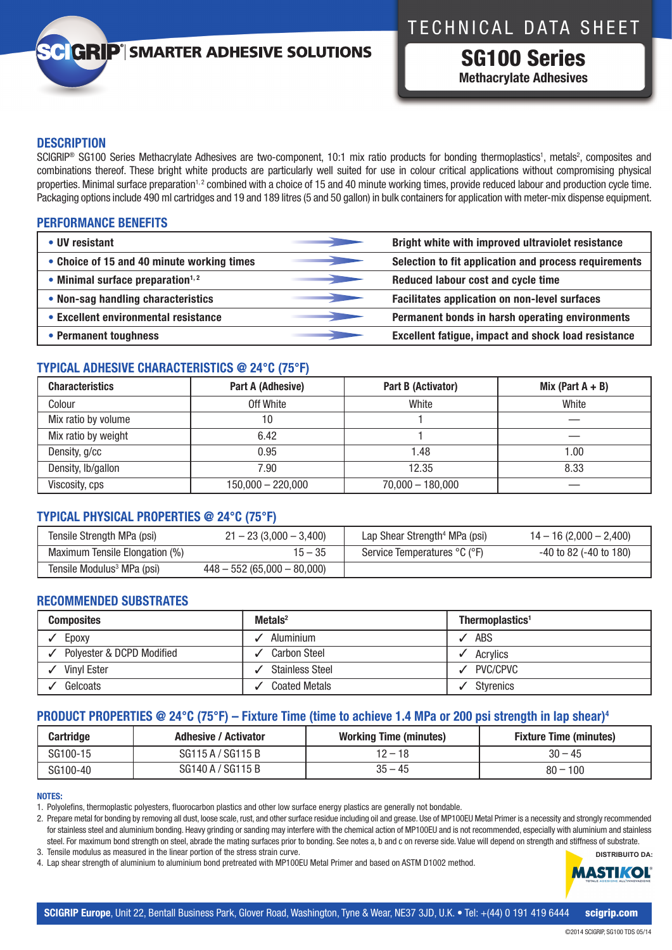## TECHNICAL DATA SHEET

## **GRIP**<sup>'</sup> SMARTER ADHESIVE SOLUTIONS

SG100 Series **Methacrylate Adhesives**

### **DESCRIPTION**

SCIGRIP<sup>®</sup> SG100 Series Methacrylate Adhesives are two-component, 10:1 mix ratio products for bonding thermoplastics<sup>1</sup>, metals<sup>2</sup>, composites and combinations thereof. These bright white products are particularly well suited for use in colour critical applications without compromising physical properties. Minimal surface preparation<sup>1,2</sup> combined with a choice of 15 and 40 minute working times, provide reduced labour and production cycle time. Packaging options include 490 ml cartridges and 19 and 189 litres (5 and 50 gallon) in bulk containers for application with meter-mix dispense equipment.

## **PERFORMANCE BENEFITS**

| • UV resistant                             | Bright white with improved ultraviolet resistance          |
|--------------------------------------------|------------------------------------------------------------|
| • Choice of 15 and 40 minute working times | Selection to fit application and process requirements      |
| • Minimal surface preparation $1,2$        | Reduced labour cost and cycle time                         |
| • Non-sag handling characteristics         | Facilitates application on non-level surfaces              |
| • Excellent environmental resistance       | Permanent bonds in harsh operating environments            |
| • Permanent toughness                      | <b>Excellent fatigue, impact and shock load resistance</b> |

## **TYPICAL ADHESIVE CHARACTERISTICS @ 24°C (75°F)**

| <b>Characteristics</b> | Part A (Adhesive)   | Part B (Activator) | Mix (Part $A + B$ ) |
|------------------------|---------------------|--------------------|---------------------|
| Colour                 | Off White           | White              | White               |
| Mix ratio by volume    | 10                  |                    |                     |
| Mix ratio by weight    | 6.42                |                    |                     |
| Density, g/cc          | 0.95                | 1.48               | .00                 |
| Density, lb/gallon     | 7.90                | 12.35              | 8.33                |
| Viscosity, cps         | $150,000 - 220,000$ | $70,000 - 180,000$ |                     |

## **TYPICAL PHYSICAL PROPERTIES @ 24°C (75°F)**

| Tensile Strength MPa (psi)             | $21 - 23(3,000 - 3,400)$     | Lap Shear Strength <sup>4</sup> MPa (psi) | $14 - 16(2,000 - 2,400)$    |
|----------------------------------------|------------------------------|-------------------------------------------|-----------------------------|
| Maximum Tensile Elongation (%)         | 15 – 35                      | Service Temperatures °C (°F)              | $-40$ to 82 ( $-40$ to 180) |
| Tensile Modulus <sup>3</sup> MPa (psi) | $448 - 552(65,000 - 80,000)$ |                                           |                             |

### **RECOMMENDED SUBSTRATES**

| <b>Composites</b>         | Metals $2$             | Thermoplastics <sup>1</sup> |
|---------------------------|------------------------|-----------------------------|
| Epoxy                     | Aluminium              | ABS                         |
| Polyester & DCPD Modified | <b>Carbon Steel</b>    | Acrylics                    |
| Vinyl Ester               | <b>Stainless Steel</b> | PVC/CPVC                    |
| Gelcoats                  | <b>Coated Metals</b>   | <b>Styrenics</b>            |

## **PRODUCT PROPERTIES @ 24°C (75°F) – Fixture Time (time to achieve 1.4 MPa or 200 psi strength in lap shear)4**

| <b>Cartridge</b> | <b>Adhesive / Activator</b> | <b>Working Time (minutes)</b> | <b>Fixture Time (minutes)</b> |
|------------------|-----------------------------|-------------------------------|-------------------------------|
| SG100-15         | SG115 A / SG115 B           | $12 - 18$                     | $30 - 45$                     |
| SG100-40         | SG140 A / SG115 B           | $35 - 45$                     | $80 - 100$                    |

### **NOTES:**

1. Polyolefins, thermoplastic polyesters, fluorocarbon plastics and other low surface energy plastics are generally not bondable.

2. Prepare metal for bonding by removing all dust, loose scale, rust, and other surface residue including oil and grease. Use of MP100EU Metal Primer is a necessity and strongly recommended for stainless steel and aluminium bonding. Heavy grinding or sanding may interfere with the chemical action of MP100EU and is not recommended, especially with aluminium and stainless steel. For maximum bond strength on steel, abrade the mating surfaces prior to bonding. See notes a, b and c on reverse side. Value will depend on strength and stiffness of substrate. 3. Tensile modulus as measured in the linear portion of the stress strain curve.

4. Lap shear strength of aluminium to aluminium bond pretreated with MP100EU Metal Primer and based on ASTM D1002 method.